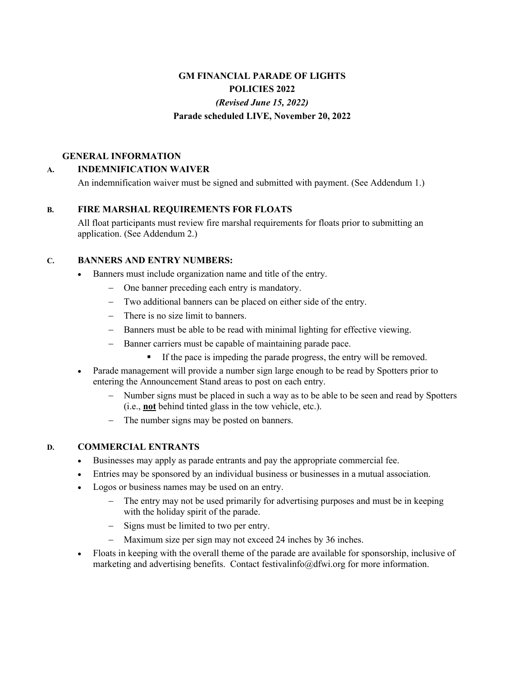# **GM FINANCIAL PARADE OF LIGHTS POLICIES 2022** *(Revised June 15, 2022)* **Parade scheduled LIVE, November 20, 2022**

#### **GENERAL INFORMATION**

## **A. INDEMNIFICATION WAIVER**

An indemnification waiver must be signed and submitted with payment. (See Addendum 1.)

## **B. FIRE MARSHAL REQUIREMENTS FOR FLOATS**

All float participants must review fire marshal requirements for floats prior to submitting an application. (See Addendum 2.)

## **C. BANNERS AND ENTRY NUMBERS:**

- Banners must include organization name and title of the entry.
	- One banner preceding each entry is mandatory.
	- Two additional banners can be placed on either side of the entry.
	- There is no size limit to banners.
	- Banners must be able to be read with minimal lighting for effective viewing.
	- Banner carriers must be capable of maintaining parade pace.
		- **•** If the pace is impeding the parade progress, the entry will be removed.
- Parade management will provide a number sign large enough to be read by Spotters prior to entering the Announcement Stand areas to post on each entry.
	- Number signs must be placed in such a way as to be able to be seen and read by Spotters (i.e., **not** behind tinted glass in the tow vehicle, etc.).
	- The number signs may be posted on banners.

### **D. COMMERCIAL ENTRANTS**

- Businesses may apply as parade entrants and pay the appropriate commercial fee.
- Entries may be sponsored by an individual business or businesses in a mutual association.
- Logos or business names may be used on an entry.
	- The entry may not be used primarily for advertising purposes and must be in keeping with the holiday spirit of the parade.
	- Signs must be limited to two per entry.
	- Maximum size per sign may not exceed 24 inches by 36 inches.
- Floats in keeping with the overall theme of the parade are available for sponsorship, inclusive of marketing and advertising benefits. Contact festivalinfo@dfwi.org for more information.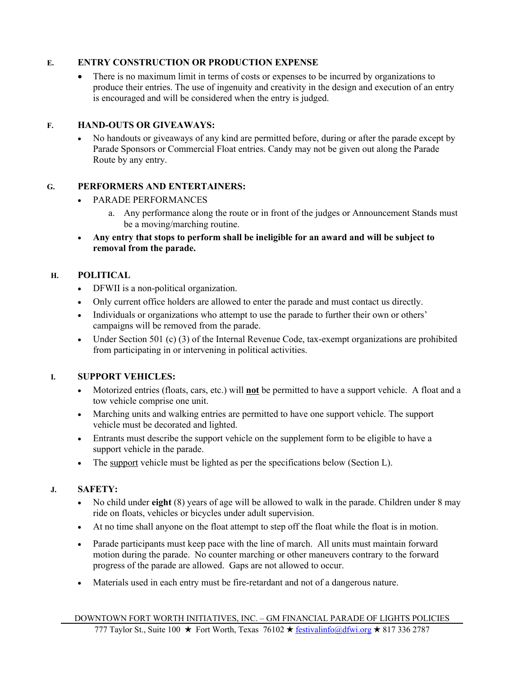### **E. ENTRY CONSTRUCTION OR PRODUCTION EXPENSE**

• There is no maximum limit in terms of costs or expenses to be incurred by organizations to produce their entries. The use of ingenuity and creativity in the design and execution of an entry is encouraged and will be considered when the entry is judged.

#### **F. HAND-OUTS OR GIVEAWAYS:**

• No handouts or giveaways of any kind are permitted before, during or after the parade except by Parade Sponsors or Commercial Float entries. Candy may not be given out along the Parade Route by any entry.

#### **G. PERFORMERS AND ENTERTAINERS:**

- PARADE PERFORMANCES
	- a. Any performance along the route or in front of the judges or Announcement Stands must be a moving/marching routine.
- **Any entry that stops to perform shall be ineligible for an award and will be subject to removal from the parade.**

#### **H. POLITICAL**

- DFWII is a non-political organization.
- Only current office holders are allowed to enter the parade and must contact us directly.
- Individuals or organizations who attempt to use the parade to further their own or others' campaigns will be removed from the parade.
- Under Section 501 (c) (3) of the Internal Revenue Code, tax-exempt organizations are prohibited from participating in or intervening in political activities.

### **I. SUPPORT VEHICLES:**

- Motorized entries (floats, cars, etc.) will **not** be permitted to have a support vehicle. A float and a tow vehicle comprise one unit.
- Marching units and walking entries are permitted to have one support vehicle. The support vehicle must be decorated and lighted.
- Entrants must describe the support vehicle on the supplement form to be eligible to have a support vehicle in the parade.
- The support vehicle must be lighted as per the specifications below (Section L).

### **J. SAFETY:**

- No child under **eight** (8) years of age will be allowed to walk in the parade. Children under 8 may ride on floats, vehicles or bicycles under adult supervision.
- At no time shall anyone on the float attempt to step off the float while the float is in motion.
- Parade participants must keep pace with the line of march. All units must maintain forward motion during the parade. No counter marching or other maneuvers contrary to the forward progress of the parade are allowed. Gaps are not allowed to occur.
- Materials used in each entry must be fire-retardant and not of a dangerous nature.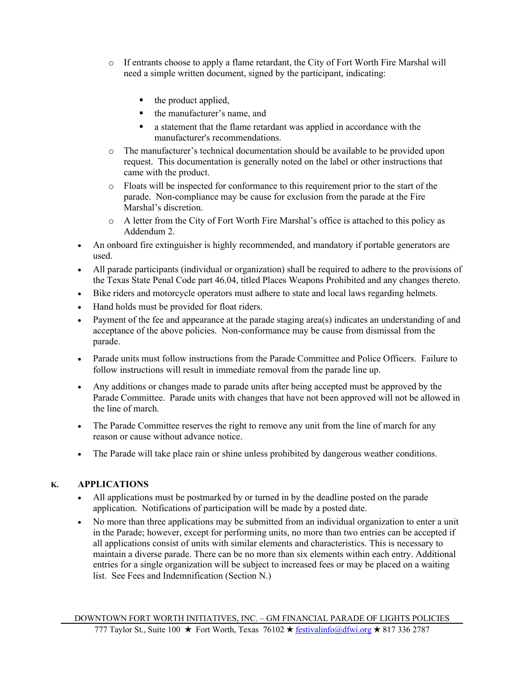- o If entrants choose to apply a flame retardant, the City of Fort Worth Fire Marshal will need a simple written document, signed by the participant, indicating:
	- $\blacksquare$  the product applied,
	- the manufacturer's name, and
	- a statement that the flame retardant was applied in accordance with the manufacturer's recommendations.
- o The manufacturer's technical documentation should be available to be provided upon request. This documentation is generally noted on the label or other instructions that came with the product.
- o Floats will be inspected for conformance to this requirement prior to the start of the parade. Non-compliance may be cause for exclusion from the parade at the Fire Marshal's discretion.
- o A letter from the City of Fort Worth Fire Marshal's office is attached to this policy as Addendum 2.
- An onboard fire extinguisher is highly recommended, and mandatory if portable generators are used.
- All parade participants (individual or organization) shall be required to adhere to the provisions of the Texas State Penal Code part 46.04, titled Places Weapons Prohibited and any changes thereto.
- Bike riders and motorcycle operators must adhere to state and local laws regarding helmets.
- Hand holds must be provided for float riders.
- Payment of the fee and appearance at the parade staging area(s) indicates an understanding of and acceptance of the above policies. Non-conformance may be cause from dismissal from the parade.
- Parade units must follow instructions from the Parade Committee and Police Officers. Failure to follow instructions will result in immediate removal from the parade line up.
- Any additions or changes made to parade units after being accepted must be approved by the Parade Committee. Parade units with changes that have not been approved will not be allowed in the line of march.
- The Parade Committee reserves the right to remove any unit from the line of march for any reason or cause without advance notice.
- The Parade will take place rain or shine unless prohibited by dangerous weather conditions.

## **K. APPLICATIONS**

- All applications must be postmarked by or turned in by the deadline posted on the parade application. Notifications of participation will be made by a posted date.
- No more than three applications may be submitted from an individual organization to enter a unit in the Parade; however, except for performing units, no more than two entries can be accepted if all applications consist of units with similar elements and characteristics. This is necessary to maintain a diverse parade. There can be no more than six elements within each entry. Additional entries for a single organization will be subject to increased fees or may be placed on a waiting list. See Fees and Indemnification (Section N.)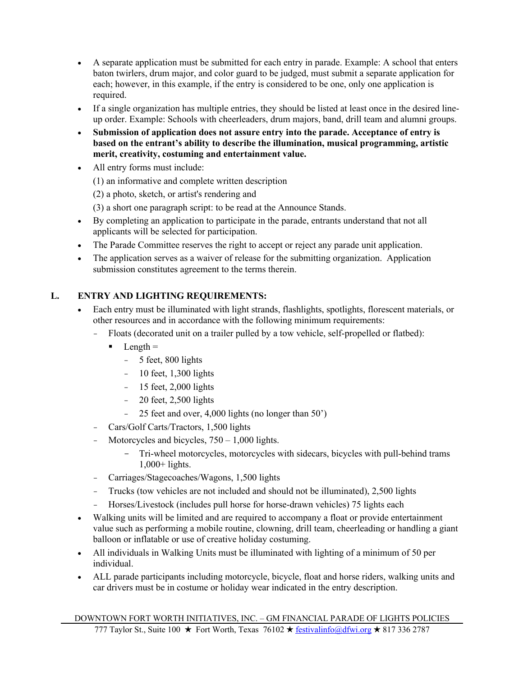- A separate application must be submitted for each entry in parade. Example: A school that enters baton twirlers, drum major, and color guard to be judged, must submit a separate application for each; however, in this example, if the entry is considered to be one, only one application is required.
- If a single organization has multiple entries, they should be listed at least once in the desired lineup order. Example: Schools with cheerleaders, drum majors, band, drill team and alumni groups.
- **Submission of application does not assure entry into the parade. Acceptance of entry is based on the entrant's ability to describe the illumination, musical programming, artistic merit, creativity, costuming and entertainment value.**
- All entry forms must include:
	- (1) an informative and complete written description

(2) a photo, sketch, or artist's rendering and

(3) a short one paragraph script: to be read at the Announce Stands.

- By completing an application to participate in the parade, entrants understand that not all applicants will be selected for participation.
- The Parade Committee reserves the right to accept or reject any parade unit application.
- The application serves as a waiver of release for the submitting organization. Application submission constitutes agreement to the terms therein.

## **L. ENTRY AND LIGHTING REQUIREMENTS:**

- Each entry must be illuminated with light strands, flashlights, spotlights, florescent materials, or other resources and in accordance with the following minimum requirements:
	- Floats (decorated unit on a trailer pulled by a tow vehicle, self-propelled or flatbed):
		- $\blacksquare$  Length  $\blacksquare$ 
			- 5 feet, 800 lights
			- 10 feet, 1,300 lights
			- 15 feet, 2,000 lights
			- 20 feet, 2,500 lights
			- 25 feet and over,  $4,000$  lights (no longer than  $50'$ )
	- Cars/Golf Carts/Tractors, 1,500 lights
	- Motorcycles and bicycles,  $750 1,000$  lights.
		- Tri-wheel motorcycles, motorcycles with sidecars, bicycles with pull-behind trams 1,000+ lights.
	- Carriages/Stagecoaches/Wagons, 1,500 lights
	- Trucks (tow vehicles are not included and should not be illuminated), 2,500 lights
	- Horses/Livestock (includes pull horse for horse-drawn vehicles) 75 lights each
- Walking units will be limited and are required to accompany a float or provide entertainment value such as performing a mobile routine, clowning, drill team, cheerleading or handling a giant balloon or inflatable or use of creative holiday costuming.
- All individuals in Walking Units must be illuminated with lighting of a minimum of 50 per individual.
- ALL parade participants including motorcycle, bicycle, float and horse riders, walking units and car drivers must be in costume or holiday wear indicated in the entry description.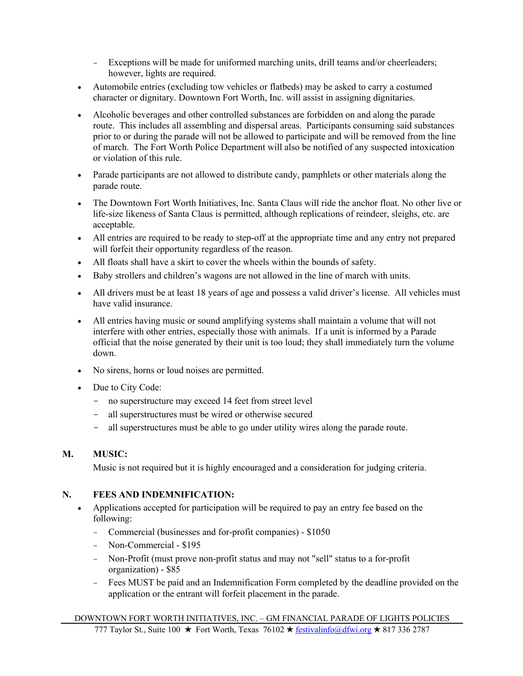- Exceptions will be made for uniformed marching units, drill teams and/or cheerleaders; however, lights are required.
- Automobile entries (excluding tow vehicles or flatbeds) may be asked to carry a costumed character or dignitary. Downtown Fort Worth, Inc. will assist in assigning dignitaries.
- Alcoholic beverages and other controlled substances are forbidden on and along the parade route. This includes all assembling and dispersal areas. Participants consuming said substances prior to or during the parade will not be allowed to participate and will be removed from the line of march. The Fort Worth Police Department will also be notified of any suspected intoxication or violation of this rule.
- Parade participants are not allowed to distribute candy, pamphlets or other materials along the parade route.
- The Downtown Fort Worth Initiatives, Inc. Santa Claus will ride the anchor float. No other live or life-size likeness of Santa Claus is permitted, although replications of reindeer, sleighs, etc. are acceptable.
- All entries are required to be ready to step-off at the appropriate time and any entry not prepared will forfeit their opportunity regardless of the reason.
- All floats shall have a skirt to cover the wheels within the bounds of safety.
- Baby strollers and children's wagons are not allowed in the line of march with units.
- All drivers must be at least 18 years of age and possess a valid driver's license. All vehicles must have valid insurance.
- All entries having music or sound amplifying systems shall maintain a volume that will not interfere with other entries, especially those with animals. If a unit is informed by a Parade official that the noise generated by their unit is too loud; they shall immediately turn the volume down.
- No sirens, horns or loud noises are permitted.
- Due to City Code:
	- no superstructure may exceed 14 feet from street level
	- all superstructures must be wired or otherwise secured
	- all superstructures must be able to go under utility wires along the parade route.

## **M. MUSIC:**

Music is not required but it is highly encouraged and a consideration for judging criteria.

### **N. FEES AND INDEMNIFICATION:**

- Applications accepted for participation will be required to pay an entry fee based on the following:
	- Commercial (businesses and for-profit companies) \$1050
	- Non-Commercial \$195
	- Non-Profit (must prove non-profit status and may not "sell" status to a for-profit organization) - \$85
	- Fees MUST be paid and an Indemnification Form completed by the deadline provided on the application or the entrant will forfeit placement in the parade.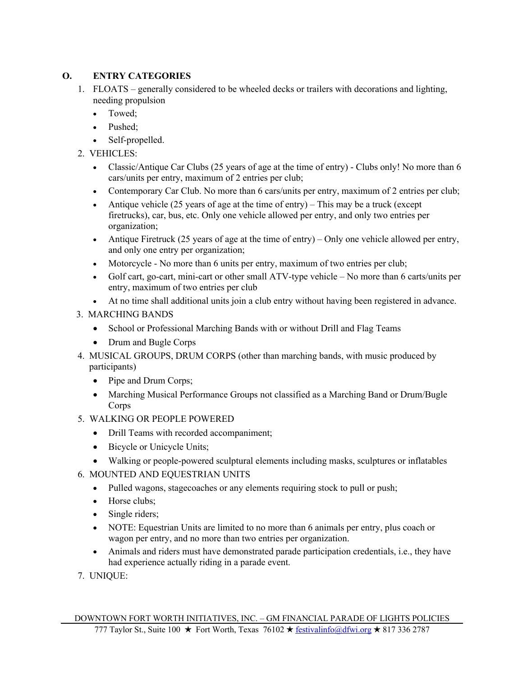## **O. ENTRY CATEGORIES**

- 1. FLOATS generally considered to be wheeled decks or trailers with decorations and lighting, needing propulsion
	- Towed;
	- Pushed;
	- Self-propelled.
- 2. VEHICLES:
	- Classic/Antique Car Clubs (25 years of age at the time of entry) Clubs only! No more than 6 cars/units per entry, maximum of 2 entries per club;
	- Contemporary Car Club. No more than 6 cars/units per entry, maximum of 2 entries per club;
	- Antique vehicle (25 years of age at the time of entry) This may be a truck (except firetrucks), car, bus, etc. Only one vehicle allowed per entry, and only two entries per organization;
	- Antique Firetruck (25 years of age at the time of entry) Only one vehicle allowed per entry, and only one entry per organization;
	- Motorcycle No more than 6 units per entry, maximum of two entries per club;
	- Golf cart, go-cart, mini-cart or other small ATV-type vehicle No more than 6 carts/units per entry, maximum of two entries per club
	- At no time shall additional units join a club entry without having been registered in advance.

## 3. MARCHING BANDS

- School or Professional Marching Bands with or without Drill and Flag Teams
- Drum and Bugle Corps
- 4. MUSICAL GROUPS, DRUM CORPS (other than marching bands, with music produced by participants)
	- Pipe and Drum Corps;
	- Marching Musical Performance Groups not classified as a Marching Band or Drum/Bugle **Corps**
- 5. WALKING OR PEOPLE POWERED
	- Drill Teams with recorded accompaniment;
	- Bicycle or Unicycle Units;
	- Walking or people-powered sculptural elements including masks, sculptures or inflatables
- 6. MOUNTED AND EQUESTRIAN UNITS
	- Pulled wagons, stagecoaches or any elements requiring stock to pull or push;
	- Horse clubs:
	- Single riders;
	- NOTE: Equestrian Units are limited to no more than 6 animals per entry, plus coach or wagon per entry, and no more than two entries per organization.
	- Animals and riders must have demonstrated parade participation credentials, i.e., they have had experience actually riding in a parade event.
- 7. UNIQUE: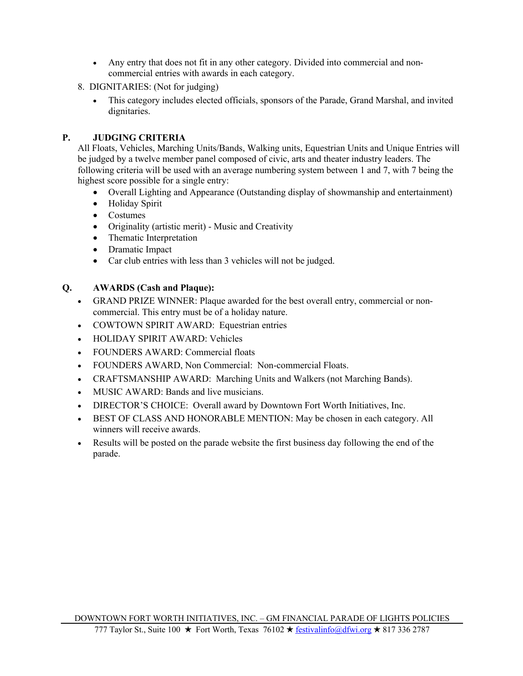- Any entry that does not fit in any other category. Divided into commercial and noncommercial entries with awards in each category.
- 8. DIGNITARIES: (Not for judging)
	- This category includes elected officials, sponsors of the Parade, Grand Marshal, and invited dignitaries.

## **P. JUDGING CRITERIA**

All Floats, Vehicles, Marching Units/Bands, Walking units, Equestrian Units and Unique Entries will be judged by a twelve member panel composed of civic, arts and theater industry leaders. The following criteria will be used with an average numbering system between 1 and 7, with 7 being the highest score possible for a single entry:

- Overall Lighting and Appearance (Outstanding display of showmanship and entertainment)
- Holiday Spirit
- Costumes
- Originality (artistic merit) Music and Creativity
- Thematic Interpretation
- Dramatic Impact
- Car club entries with less than 3 vehicles will not be judged.

## **Q. AWARDS (Cash and Plaque):**

- GRAND PRIZE WINNER: Plaque awarded for the best overall entry, commercial or noncommercial. This entry must be of a holiday nature.
- COWTOWN SPIRIT AWARD: Equestrian entries
- HOLIDAY SPIRIT AWARD: Vehicles
- FOUNDERS AWARD: Commercial floats
- FOUNDERS AWARD, Non Commercial: Non-commercial Floats.
- CRAFTSMANSHIP AWARD: Marching Units and Walkers (not Marching Bands).
- MUSIC AWARD: Bands and live musicians.
- DIRECTOR'S CHOICE: Overall award by Downtown Fort Worth Initiatives, Inc.
- BEST OF CLASS AND HONORABLE MENTION: May be chosen in each category. All winners will receive awards.
- Results will be posted on the parade website the first business day following the end of the parade.